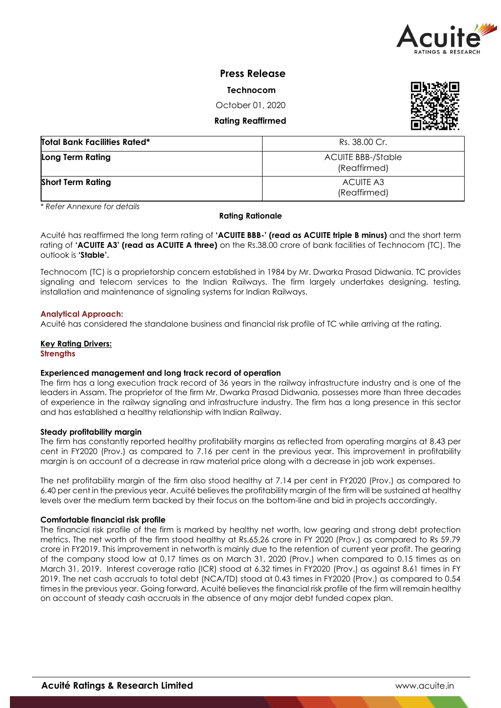

# **Press Release**

**Technocom** 

October 01, 2020

**Rating Reaffirmed** 



| <b>Total Bank Facilities Rated*</b> | Rs. 38.00 Cr.                      |
|-------------------------------------|------------------------------------|
| Long Term Rating                    | ACUITE BBB-/Stable<br>(Reaffirmed) |
| <b>Short Term Rating</b>            | ACUITE A3<br>(Reaffirmed)          |

*\* Refer Annexure for details*

#### **Rating Rationale**

Acuité has reaffirmed the long term rating of **'ACUITE BBB-' (read as ACUITE triple B minus)** and the short term rating of **'ACUITE A3' (read as ACUITE A three)** on the Rs.38.00 crore of bank facilities of Technocom (TC). The outlook is **'Stable'.**

Technocom (TC) is a proprietorship concern established in 1984 by Mr. Dwarka Prasad Didwania. TC provides signaling and telecom services to the Indian Railways. The firm largely undertakes designing, testing, installation and maintenance of signaling systems for Indian Railways.

# **Analytical Approach:**

Acuité has considered the standalone business and financial risk profile of TC while arriving at the rating.

# **Key Rating Drivers:**

**Strengths** 

### **Experienced management and long track record of operation**

The firm has a long execution track record of 36 years in the railway infrastructure industry and is one of the leaders in Assam. The proprietor of the firm Mr. Dwarka Prasad Didwania, possesses more than three decades of experience in the railway signaling and infrastructure industry. The firm has a long presence in this sector and has established a healthy relationship with Indian Railway.

### **Steady profitability margin**

The firm has constantly reported healthy profitability margins as reflected from operating margins at 8.43 per cent in FY2020 (Prov.) as compared to 7.16 per cent in the previous year. This improvement in profitability margin is on account of a decrease in raw material price along with a decrease in job work expenses.

The net profitability margin of the firm also stood healthy at 7.14 per cent in FY2020 (Prov.) as compared to 6.40 per cent in the previous year. Acuité believes the profitability margin of the firm will be sustained at healthy levels over the medium term backed by their focus on the bottom-line and bid in projects accordingly.

### **Comfortable financial risk profile**

The financial risk profile of the firm is marked by healthy net worth, low gearing and strong debt protection metrics. The net worth of the firm stood healthy at Rs.65.26 crore in FY 2020 (Prov.) as compared to Rs 59.79 crore in FY2019. This improvement in networth is mainly due to the retention of current year profit. The gearing of the company stood low at 0.17 times as on March 31, 2020 (Prov.) when compared to 0.15 times as on March 31, 2019. Interest coverage ratio (ICR) stood at 6.32 times in FY2020 (Prov.) as against 8.61 times in FY 2019. The net cash accruals to total debt (NCA/TD) stood at 0.43 times in FY2020 (Prov.) as compared to 0.54 times in the previous year. Going forward, Acuité believes the financial risk profile of the firm will remain healthy on account of steady cash accruals in the absence of any major debt funded capex plan.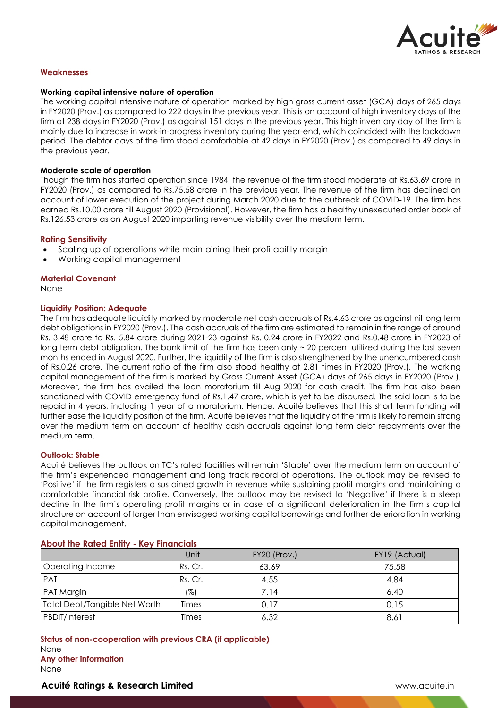

### **Weaknesses**

### **Working capital intensive nature of operation**

The working capital intensive nature of operation marked by high gross current asset (GCA) days of 265 days in FY2020 (Prov.) as compared to 222 days in the previous year. This is on account of high inventory days of the firm at 238 days in FY2020 (Prov.) as against 151 days in the previous year. This high inventory day of the firm is mainly due to increase in work-in-progress inventory during the year-end, which coincided with the lockdown period. The debtor days of the firm stood comfortable at 42 days in FY2020 (Prov.) as compared to 49 days in the previous year.

#### **Moderate scale of operation**

Though the firm has started operation since 1984, the revenue of the firm stood moderate at Rs.63.69 crore in FY2020 (Prov.) as compared to Rs.75.58 crore in the previous year. The revenue of the firm has declined on account of lower execution of the project during March 2020 due to the outbreak of COVID-19. The firm has earned Rs.10.00 crore till August 2020 (Provisional). However, the firm has a healthy unexecuted order book of Rs.126.53 crore as on August 2020 imparting revenue visibility over the medium term.

#### **Rating Sensitivity**

- Scaling up of operations while maintaining their profitability margin
- Working capital management

#### **Material Covenant**

None

#### **Liquidity Position: Adequate**

The firm has adequate liquidity marked by moderate net cash accruals of Rs.4.63 crore as against nil long term debt obligations in FY2020 (Prov.). The cash accruals of the firm are estimated to remain in the range of around Rs. 3.48 crore to Rs. 5.84 crore during 2021-23 against Rs. 0.24 crore in FY2022 and Rs.0.48 crore in FY2023 of long term debt obligation. The bank limit of the firm has been only ~ 20 percent utilized during the last seven months ended in August 2020. Further, the liquidity of the firm is also strengthened by the unencumbered cash of Rs.0.26 crore. The current ratio of the firm also stood healthy at 2.81 times in FY2020 (Prov.). The working capital management of the firm is marked by Gross Current Asset (GCA) days of 265 days in FY2020 (Prov.). Moreover, the firm has availed the loan moratorium till Aug 2020 for cash credit. The firm has also been sanctioned with COVID emergency fund of Rs.1.47 crore, which is yet to be disbursed. The said loan is to be repaid in 4 years, including 1 year of a moratorium. Hence, Acuité believes that this short term funding will further ease the liquidity position of the firm. Acuité believes that the liquidity of the firm is likely to remain strong over the medium term on account of healthy cash accruals against long term debt repayments over the medium term.

#### **Outlook: Stable**

Acuité believes the outlook on TC's rated facilities will remain 'Stable' over the medium term on account of the firm's experienced management and long track record of operations. The outlook may be revised to 'Positive' if the firm registers a sustained growth in revenue while sustaining profit margins and maintaining a comfortable financial risk profile. Conversely, the outlook may be revised to 'Negative' if there is a steep decline in the firm's operating profit margins or in case of a significant deterioration in the firm's capital structure on account of larger than envisaged working capital borrowings and further deterioration in working capital management.

|                               | Unit    | FY20 (Prov.) | FY19 (Actual) |
|-------------------------------|---------|--------------|---------------|
| Operating Income              | Rs. Cr. | 63.69        | 75.58         |
| <b>PAT</b>                    | Rs. Cr. | 4.55         | 4.84          |
| PAT Margin                    | (%)     | 7.14         | 6.40          |
| Total Debt/Tangible Net Worth | Times   | 0.17         | 0.15          |
| <b>PBDIT/Interest</b>         | Times   | 6.32         | 8.61          |

#### **About the Rated Entity - Key Financials**

**Status of non-cooperation with previous CRA (if applicable)** None **Any other information** None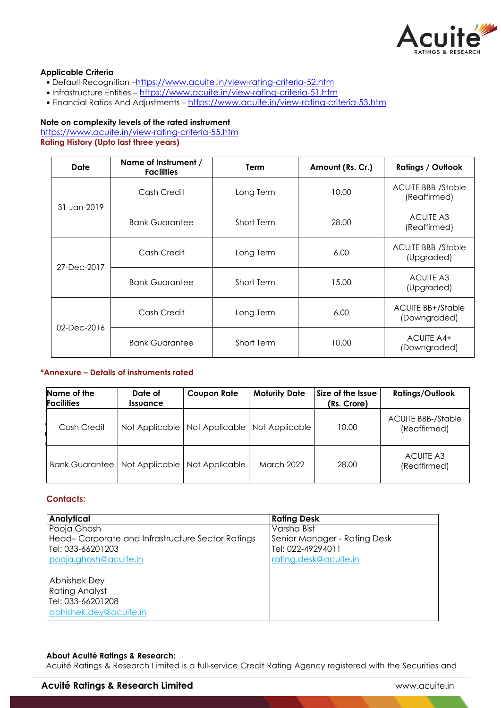

# **Applicable Criteria**

- Default Recognition –https://www.acuite.in/view-rating-criteria-52.htm
- Infrastructure Entities https://www.acuite.in/view-rating-criteria-51.htm
- Financial Ratios And Adjustments https://www.acuite.in/view-rating-criteria-53.htm

# **Note on complexity levels of the rated instrument**

https://www.acuite.in/view-rating-criteria-55.htm **Rating History (Upto last three years)**

| Date            | Name of Instrument /<br><b>Facilities</b> | <b>Term</b> | Amount (Rs. Cr.) | <b>Ratings / Outlook</b>                  |
|-----------------|-------------------------------------------|-------------|------------------|-------------------------------------------|
| $31 - Jan-2019$ | Cash Credit                               | Long Term   | 10.00            | <b>ACUITE BBB-/Stable</b><br>(Reaffirmed) |
|                 | <b>Bank Guarantee</b>                     | Short Term  | 28.00            | <b>ACUITE A3</b><br>(Reaffirmed)          |
| 27-Dec-2017     | Cash Credit                               | Long Term   | 6.00             | <b>ACUITE BBB-/Stable</b><br>(Upgraded)   |
|                 | <b>Bank Guarantee</b>                     | Short Term  | 15.00            | <b>ACUITE A3</b><br>(Upgraded)            |
| 02-Dec-2016     | Cash Credit                               | Long Term   | 6.00             | <b>ACUITE BB+/Stable</b><br>(Downgraded)  |
|                 | <b>Bank Guarantee</b>                     | Short Term  | 10.00            | ACUITE A4+<br>(Downgraded)                |

### **\*Annexure – Details of instruments rated**

| Name of the<br><b>Facilities</b> | Date of<br><i><u><b>Issuance</b></u></i> | <b>Coupon Rate</b> | <b>Maturity Date</b> | Size of the Issue<br>(Rs. Crore) | <b>Ratings/Outlook</b>                    |
|----------------------------------|------------------------------------------|--------------------|----------------------|----------------------------------|-------------------------------------------|
| Cash Credit                      | Not Applicable                           | Not Applicable     | Not Applicable       | 10.00                            | <b>ACUITE BBB-/Stable</b><br>(Reaffirmed) |
| Bank Guarantee I                 | Not Applicable                           | Not Applicable     | <b>March 2022</b>    | 28.00                            | <b>ACUITE A3</b><br>(Reaffirmed)          |

# **Contacts:**

| <b>Analytical</b>                                | <b>Rating Desk</b>           |
|--------------------------------------------------|------------------------------|
| Pooja Ghosh                                      | Varsha Bist                  |
| Head-Corporate and Infrastructure Sector Ratings | Senior Manager - Rating Desk |
| Tel: 033-66201203                                | Tel: 022-49294011            |
| pooja.ghosh@acuite.in                            | rating.desk@acuite.in        |
| <b>Abhishek Dey</b>                              |                              |
| <b>Rating Analyst</b>                            |                              |
| Tel: 033-66201208                                |                              |
| abhishek.dey@acuite.in                           |                              |

# **About Acuité Ratings & Research:**

Acuité Ratings & Research Limited is a full-service Credit Rating Agency registered with the Securities and